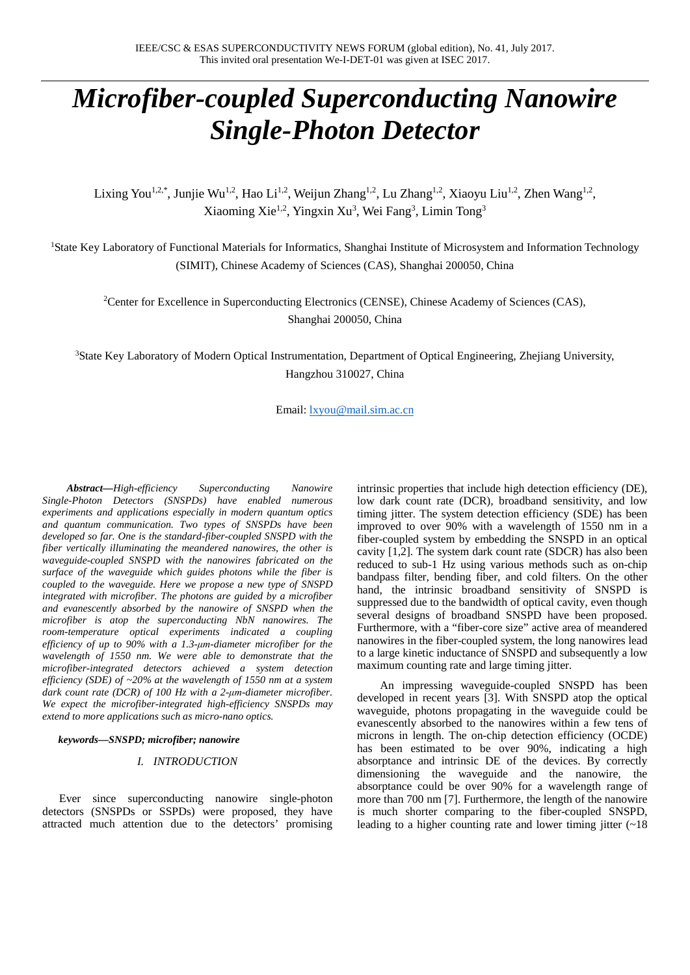# *Microfiber-coupled Superconducting Nanowire Single-Photon Detector*

Lixing You<sup>1,2,\*</sup>, Junjie Wu<sup>1,2</sup>, Hao Li<sup>1,2</sup>, Weijun Zhang<sup>1,2</sup>, Lu Zhang<sup>1,2</sup>, Xiaoyu Liu<sup>1,2</sup>, Zhen Wang<sup>1,2</sup>, Xiaoming Xie<sup>1,2</sup>, Yingxin Xu<sup>3</sup>, Wei Fang<sup>3</sup>, Limin Tong<sup>3</sup>

<sup>1</sup>State Key Laboratory of Functional Materials for Informatics, Shanghai Institute of Microsystem and Information Technology (SIMIT), Chinese Academy of Sciences (CAS), Shanghai 200050, China

<sup>2</sup>Center for Excellence in Superconducting Electronics (CENSE), Chinese Academy of Sciences (CAS), Shanghai 200050, China

3 State Key Laboratory of Modern Optical Instrumentation, Department of Optical Engineering, Zhejiang University, Hangzhou 310027, China

Email: [lxyou@mail.sim.ac.cn](mailto:lxyou@mail.sim.ac.cn)

*Abstract***—***High-efficiency Superconducting Nanowire Single-Photon Detectors (SNSPDs) have enabled numerous experiments and applications especially in modern quantum optics and quantum communication. Two types of SNSPDs have been developed so far. One is the standard-fiber-coupled SNSPD with the fiber vertically illuminating the meandered nanowires, the other is waveguide-coupled SNSPD with the nanowires fabricated on the surface of the waveguide which guides photons while the fiber is coupled to the waveguide. Here we propose a new type of SNSPD integrated with microfiber. The photons are guided by a microfiber and evanescently absorbed by the nanowire of SNSPD when the microfiber is atop the superconducting NbN nanowires. The room-temperature optical experiments indicated a coupling efficiency of up to 90% with a 1.3-μm-diameter microfiber for the wavelength of 1550 nm. We were able to demonstrate that the microfiber-integrated detectors achieved a system detection efficiency (SDE) of ~20% at the wavelength of 1550 nm at a system dark count rate (DCR) of 100 Hz with a 2-μm-diameter microfiber. We expect the microfiber-integrated high-efficiency SNSPDs may extend to more applications such as micro-nano optics.*

*keywords—SNSPD; microfiber; nanowire*

# *I. INTRODUCTION*

Ever since superconducting nanowire single-photon detectors (SNSPDs or SSPDs) were proposed, they have attracted much attention due to the detectors' promising intrinsic properties that include high detection efficiency (DE), low dark count rate (DCR), broadband sensitivity, and low timing jitter. The system detection efficiency (SDE) has been improved to over 90% with a wavelength of 1550 nm in a fiber-coupled system by embedding the SNSPD in an optical cavity [1,2]. The system dark count rate (SDCR) has also been reduced to sub-1 Hz using various methods such as on-chip bandpass filter, bending fiber, and cold filters. On the other hand, the intrinsic broadband sensitivity of SNSPD is suppressed due to the bandwidth of optical cavity, even though several designs of broadband SNSPD have been proposed. Furthermore, with a "fiber-core size" active area of meandered nanowires in the fiber-coupled system, the long nanowires lead to a large kinetic inductance of SNSPD and subsequently a low maximum counting rate and large timing jitter.

An impressing waveguide-coupled SNSPD has been developed in recent years [3]. With SNSPD atop the optical waveguide, photons propagating in the waveguide could be evanescently absorbed to the nanowires within a few tens of microns in length. The on-chip detection efficiency (OCDE) has been estimated to be over 90%, indicating a high absorptance and intrinsic DE of the devices. By correctly dimensioning the waveguide and the nanowire, the absorptance could be over 90% for a wavelength range of more than 700 nm [7]. Furthermore, the length of the nanowire is much shorter comparing to the fiber-coupled SNSPD, leading to a higher counting rate and lower timing jitter  $(-18)$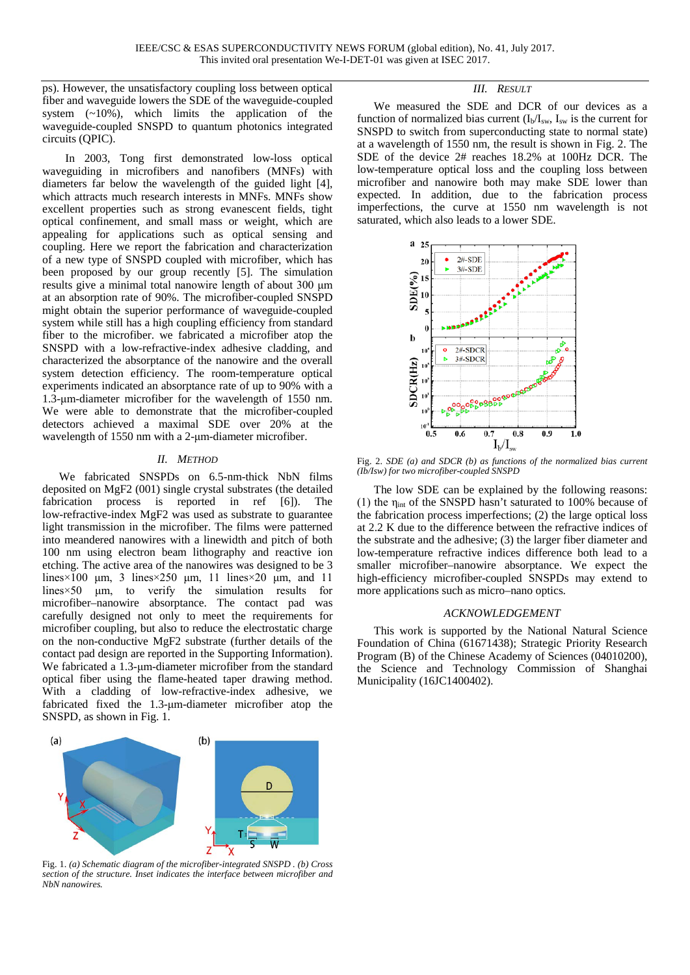ps). However, the unsatisfactory coupling loss between optical fiber and waveguide lowers the SDE of the waveguide-coupled system  $(-10\%)$ , which limits the application of the waveguide-coupled SNSPD to quantum photonics integrated circuits (QPIC).

In 2003, Tong first demonstrated low-loss optical waveguiding in microfibers and nanofibers (MNFs) with diameters far below the wavelength of the guided light [4], which attracts much research interests in MNFs. MNFs show excellent properties such as strong evanescent fields, tight optical confinement, and small mass or weight, which are appealing for applications such as optical sensing and coupling. Here we report the fabrication and characterization of a new type of SNSPD coupled with microfiber, which has been proposed by our group recently [5]. The simulation results give a minimal total nanowire length of about 300 μm at an absorption rate of 90%. The microfiber-coupled SNSPD might obtain the superior performance of waveguide-coupled system while still has a high coupling efficiency from standard fiber to the microfiber. we fabricated a microfiber atop the SNSPD with a low-refractive-index adhesive cladding, and characterized the absorptance of the nanowire and the overall system detection efficiency. The room-temperature optical experiments indicated an absorptance rate of up to 90% with a 1.3-μm-diameter microfiber for the wavelength of 1550 nm. We were able to demonstrate that the microfiber-coupled detectors achieved a maximal SDE over 20% at the wavelength of 1550 nm with a 2-μm-diameter microfiber.

## *II. METHOD*

We fabricated SNSPDs on 6.5-nm-thick NbN films deposited on MgF2 (001) single crystal substrates (the detailed fabrication process is reported in ref [6]). The low-refractive-index MgF2 was used as substrate to guarantee light transmission in the microfiber. The films were patterned into meandered nanowires with a linewidth and pitch of both 100 nm using electron beam lithography and reactive ion etching. The active area of the nanowires was designed to be 3 lines×100 μm, 3 lines×250 μm, 11 lines×20 μm, and 11 lines×50 μm, to verify the simulation results for microfiber–nanowire absorptance. The contact pad was carefully designed not only to meet the requirements for microfiber coupling, but also to reduce the electrostatic charge on the non-conductive MgF2 substrate (further details of the contact pad design are reported in the Supporting Information). We fabricated a 1.3-um-diameter microfiber from the standard optical fiber using the flame-heated taper drawing method. With a cladding of low-refractive-index adhesive, we fabricated fixed the 1.3-μm-diameter microfiber atop the SNSPD, as shown in Fig. 1.



Fig. 1. *(a) Schematic diagram of the microfiber-integrated SNSPD . (b) Cross section of the structure. Inset indicates the interface between microfiber and NbN nanowires.*

## *III. RESULT*

We measured the SDE and DCR of our devices as a function of normalized bias current  $(I_b/I_{sw}$ ,  $I_{sw}$  is the current for SNSPD to switch from superconducting state to normal state) at a wavelength of 1550 nm, the result is shown in Fig. 2. The SDE of the device 2# reaches 18.2% at 100Hz DCR. The low-temperature optical loss and the coupling loss between microfiber and nanowire both may make SDE lower than expected. In addition, due to the fabrication process imperfections, the curve at 1550 nm wavelength is not saturated, which also leads to a lower SDE.



Fig. 2. *SDE (a) and SDCR (b) as functions of the normalized bias current (Ib/Isw) for two microfiber-coupled SNSPD*

The low SDE can be explained by the following reasons: (1) the ηint of the SNSPD hasn't saturated to 100% because of the fabrication process imperfections; (2) the large optical loss at 2.2 K due to the difference between the refractive indices of the substrate and the adhesive; (3) the larger fiber diameter and low-temperature refractive indices difference both lead to a smaller microfiber–nanowire absorptance. We expect the high-efficiency microfiber-coupled SNSPDs may extend to more applications such as micro–nano optics.

#### *ACKNOWLEDGEMENT*

This work is supported by the National Natural Science Foundation of China (61671438); Strategic Priority Research Program (B) of the Chinese Academy of Sciences (04010200), the Science and Technology Commission of Shanghai Municipality (16JC1400402).